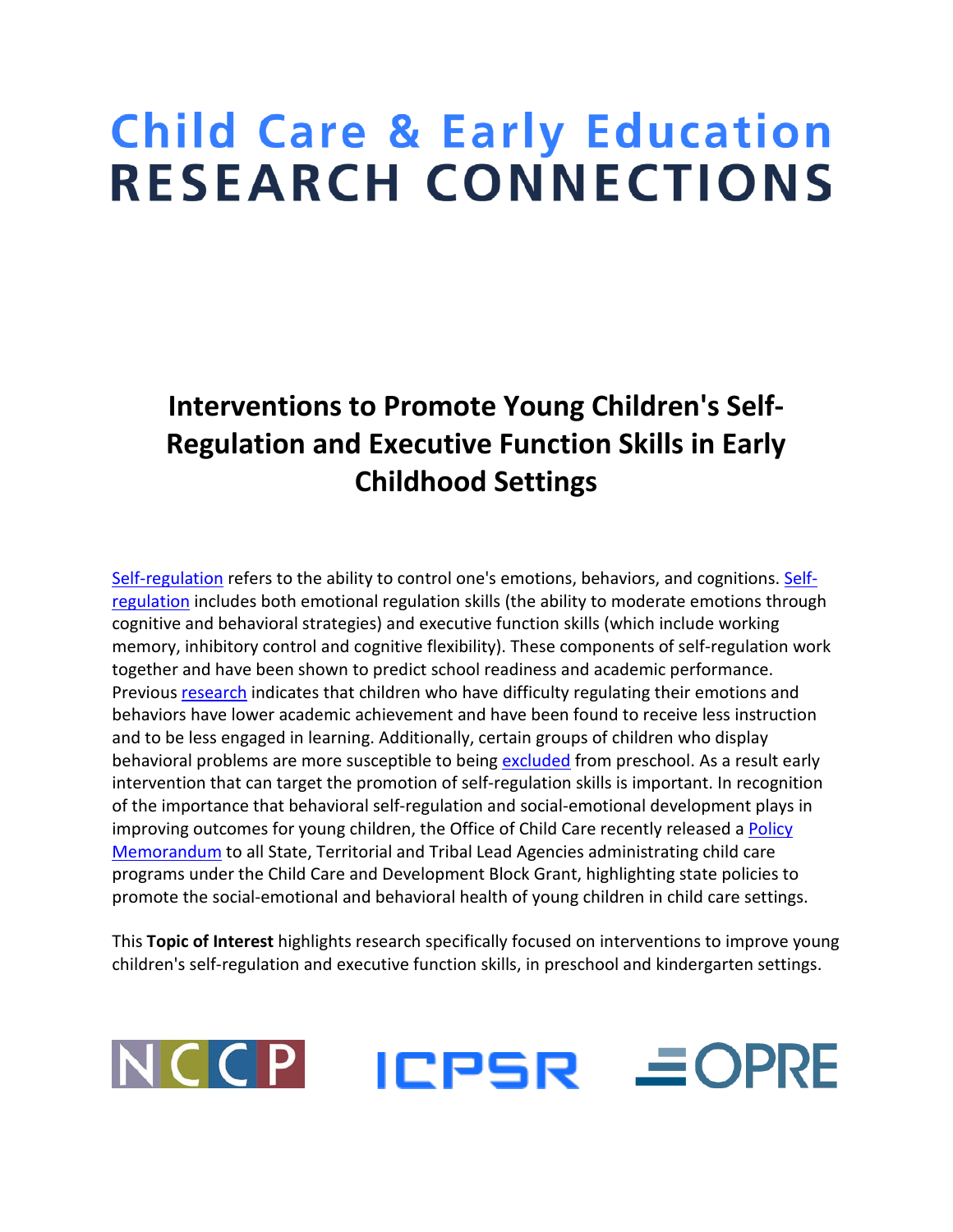# **Child Care & Early Education RESEARCH CONNECTIONS**

## **Interventions to Promote Young Children's Self-Regulation and Executive Function Skills in Early Childhood Settings**

[Self-regulation](http://www.researchconnections.org/childcare/resources/22529) refers to the ability to control one's emotions, behaviors, and cognitions. [Self](http://www.researchconnections.org/childcare/resources/23536)[regulation](http://www.researchconnections.org/childcare/resources/23536) includes both emotional regulation skills (the ability to moderate emotions through cognitive and behavioral strategies) and executive function skills (which include working memory, inhibitory control and cognitive flexibility). These components of self-regulation work together and have been shown to predict school readiness and academic performance. Previou[s research](http://www.researchconnections.org/childcare/resources/13175) indicates that children who have difficulty regulating their emotions and behaviors have lower academic achievement and have been found to receive less instruction and to be less engaged in learning. Additionally, certain groups of children who display behavioral problems are more susceptible to being [excluded](http://www.researchconnections.org/childcare/resources/6144) from preschool. As a result early intervention that can target the promotion of self-regulation skills is important. In recognition of the importance that behavioral self-regulation and social-emotional development plays in improving outcomes for young children, the Office of Child Care recently released a Policy [Memorandum](http://www.acf.hhs.gov/sites/default/files/occ/ccdf_acf_im_2015_01.pdf) to all State, Territorial and Tribal Lead Agencies administrating child care programs under the Child Care and Development Block Grant, highlighting state policies to promote the social-emotional and behavioral health of young children in child care settings.

This **Topic of Interest** highlights research specifically focused on interventions to improve young children's self-regulation and executive function skills, in preschool and kindergarten settings.

### NCCP ICPSR *EOPRE*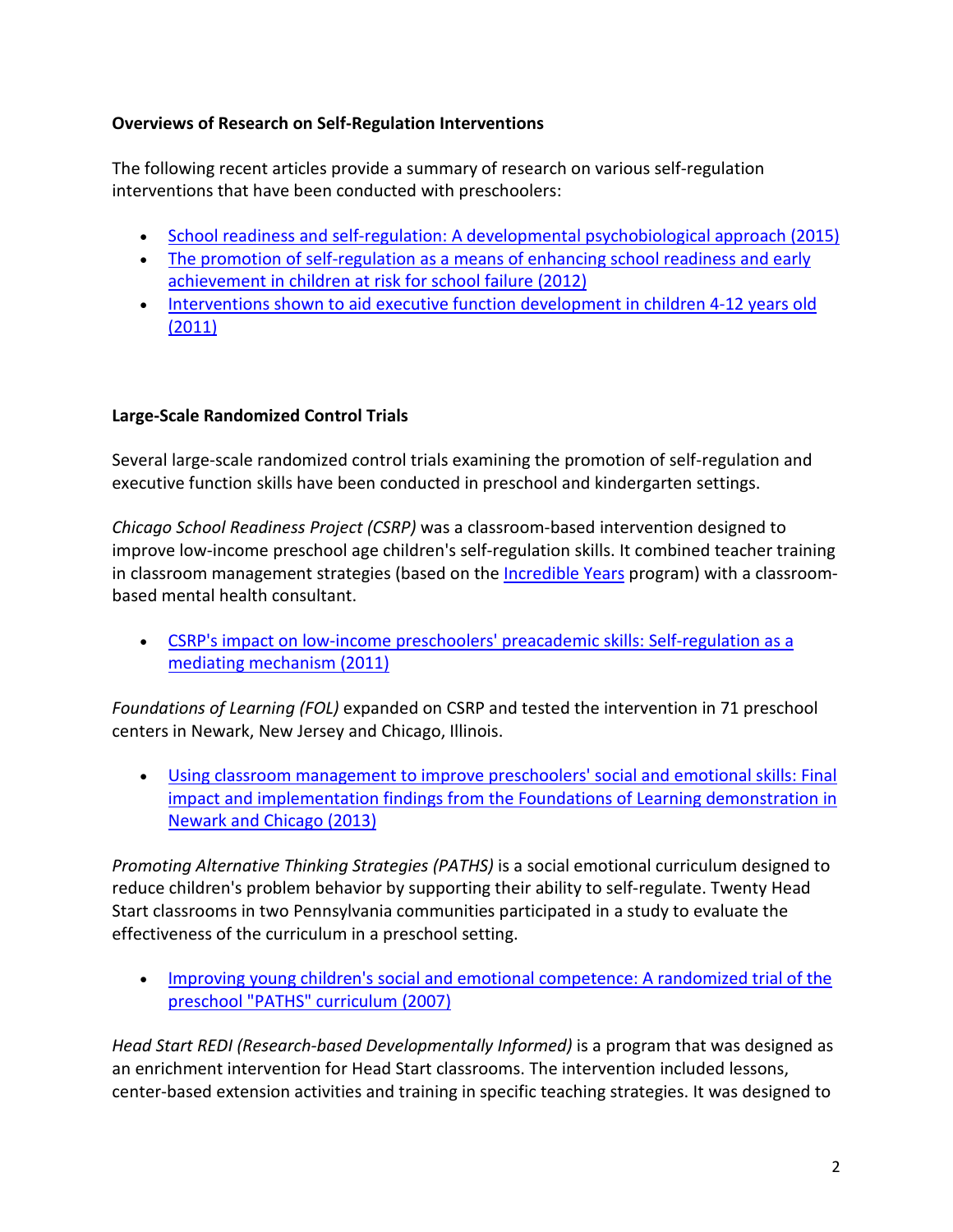#### **Overviews of Research on Self-Regulation Interventions**

The following recent articles provide a summary of research on various self-regulation interventions that have been conducted with preschoolers:

- [School readiness and self-regulation: A developmental psychobiological approach \(2015\)](http://www.researchconnections.org/childcare/resources/29307)
- [The promotion of self-regulation as a means of enhancing school readiness and early](http://www.researchconnections.org/childcare/resources/23536)  [achievement in children at risk for school failure \(2012\)](http://www.researchconnections.org/childcare/resources/23536)
- Interventions shown to aid executive function development in children 4-12 years old [\(2011\)](http://www.researchconnections.org/childcare/resources/30725)

#### **Large-Scale Randomized Control Trials**

Several large-scale randomized control trials examining the promotion of self-regulation and executive function skills have been conducted in preschool and kindergarten settings.

*Chicago School Readiness Project (CSRP)* was a classroom-based intervention designed to improve low-income preschool age children's self-regulation skills. It combined teacher training in classroom management strategies (based on the **Incredible Years** program) with a classroombased mental health consultant.

• [CSRP's impact on low-income preschoolers' preacademic skills: Self-regulation as a](http://www.researchconnections.org/childcare/resources/20511)  [mediating mechanism \(2011\)](http://www.researchconnections.org/childcare/resources/20511)

*Foundations of Learning (FOL)* expanded on CSRP and tested the intervention in 71 preschool centers in Newark, New Jersey and Chicago, Illinois.

• [Using classroom management to improve preschoolers' social and emotional skills: Final](http://www.researchconnections.org/childcare/resources/24724)  [impact and implementation findings from the Foundations of Learning demonstration in](http://www.researchconnections.org/childcare/resources/24724)  [Newark and Chicago \(2013\)](http://www.researchconnections.org/childcare/resources/24724)

*Promoting Alternative Thinking Strategies (PATHS)* is a social emotional curriculum designed to reduce children's problem behavior by supporting their ability to self-regulate. Twenty Head Start classrooms in two Pennsylvania communities participated in a study to evaluate the effectiveness of the curriculum in a preschool setting.

• Improving [young children's social and emotional competence: A randomized trial of the](http://www.researchconnections.org/childcare/resources/13694)  [preschool "PATHS" curriculum \(2007\)](http://www.researchconnections.org/childcare/resources/13694)

*Head Start REDI (Research-based Developmentally Informed)* is a program that was designed as an enrichment intervention for Head Start classrooms. The intervention included lessons, center-based extension activities and training in specific teaching strategies. It was designed to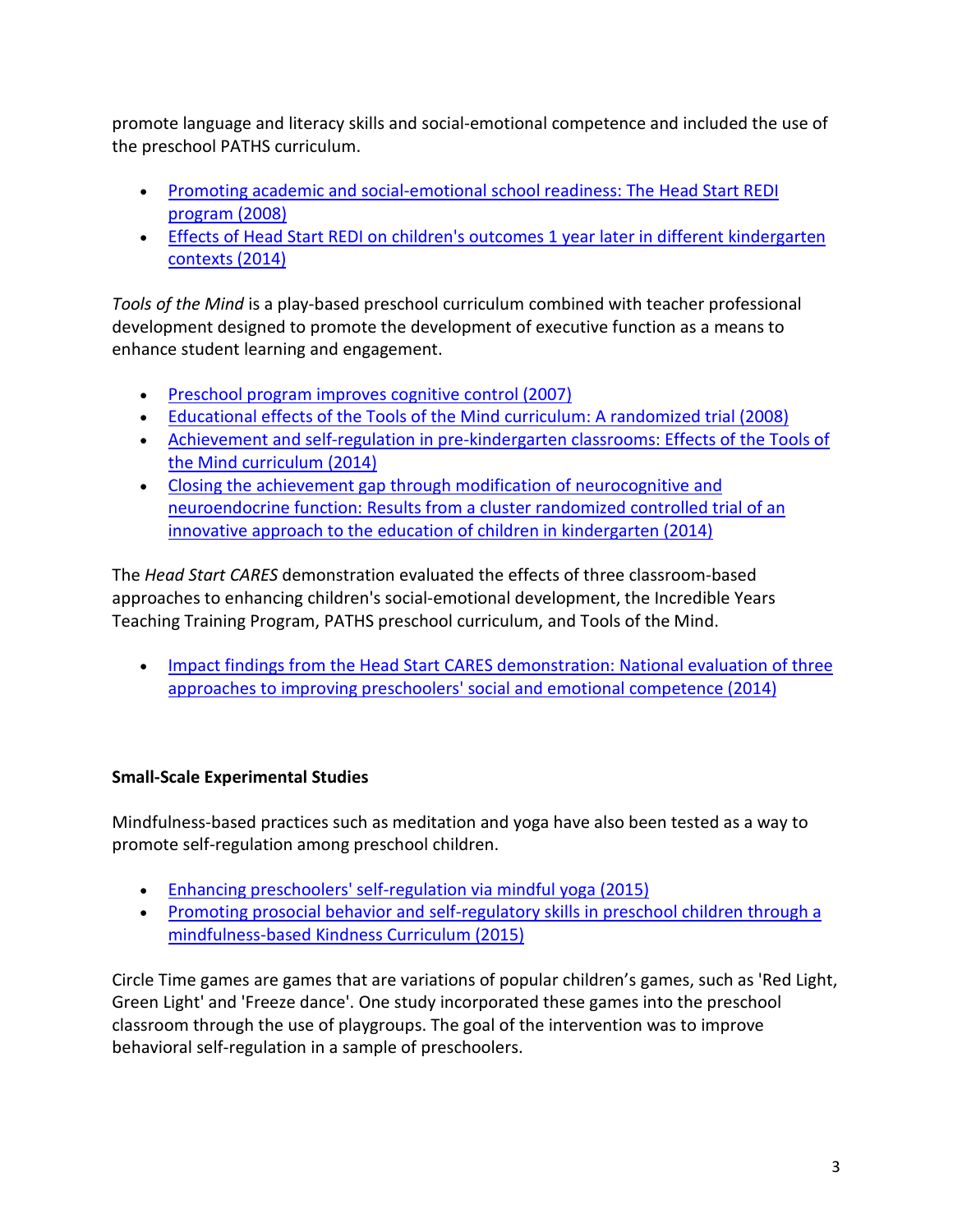promote language and literacy skills and social-emotional competence and included the use of the preschool PATHS curriculum.

- [Promoting academic and social-emotional school readiness: The Head Start REDI](http://www.researchconnections.org/childcare/resources/14953)  [program \(2008\)](http://www.researchconnections.org/childcare/resources/14953)
- [Effects of Head Start REDI on children's outcomes 1 year later in different kindergarten](http://www.researchconnections.org/childcare/resources/25396)  [contexts \(2014\)](http://www.researchconnections.org/childcare/resources/25396)

*Tools of the Mind* is a play-based preschool curriculum combined with teacher professional development designed to promote the development of executive function as a means to enhance student learning and engagement.

- [Preschool program improves cognitive control \(2007\)](http://www.researchconnections.org/childcare/resources/13681)
- [Educational effects of the Tools of the Mind curriculum: A randomized trial \(2008\)](http://www.researchconnections.org/childcare/resources/14476)
- [Achievement and self-regulation in pre-kindergarten classrooms: Effects of the Tools](http://www.researchconnections.org/childcare/resources/29712) of [the Mind curriculum \(2014\)](http://www.researchconnections.org/childcare/resources/29712)
- [Closing the achievement gap through modification of neurocognitive and](http://www.researchconnections.org/childcare/resources/30726)  [neuroendocrine function: Results from a cluster randomized controlled trial of an](http://www.researchconnections.org/childcare/resources/30726)  [innovative approach to the education of children in kindergarten \(2014\)](http://www.researchconnections.org/childcare/resources/30726)

The *Head Start CARES* demonstration evaluated the effects of three classroom-based approaches to enhancing children's social-emotional development, the Incredible Years Teaching Training Program, PATHS preschool curriculum, and Tools of the Mind.

• Impact findings from the Head Start CARES demonstration: National evaluation of three [approaches to improving preschoolers' social and emotional competence \(2014\)](http://www.researchconnections.org/childcare/resources/28153)

#### **Small-Scale Experimental Studies**

Mindfulness-based practices such as meditation and yoga have also been tested as a way to promote self-regulation among preschool children.

- [Enhancing preschoolers' self-regulation via mindful yoga \(2015\)](http://www.researchconnections.org/childcare/resources/29066)
- [Promoting prosocial behavior and self-regulatory skills in preschool children through a](http://www.researchconnections.org/childcare/resources/28567)  [mindfulness-based Kindness Curriculum \(2015\)](http://www.researchconnections.org/childcare/resources/28567)

Circle Time games are games that are variations of popular children's games, such as 'Red Light, Green Light' and 'Freeze dance'. One study incorporated these games into the preschool classroom through the use of playgroups. The goal of the intervention was to improve behavioral self-regulation in a sample of preschoolers.